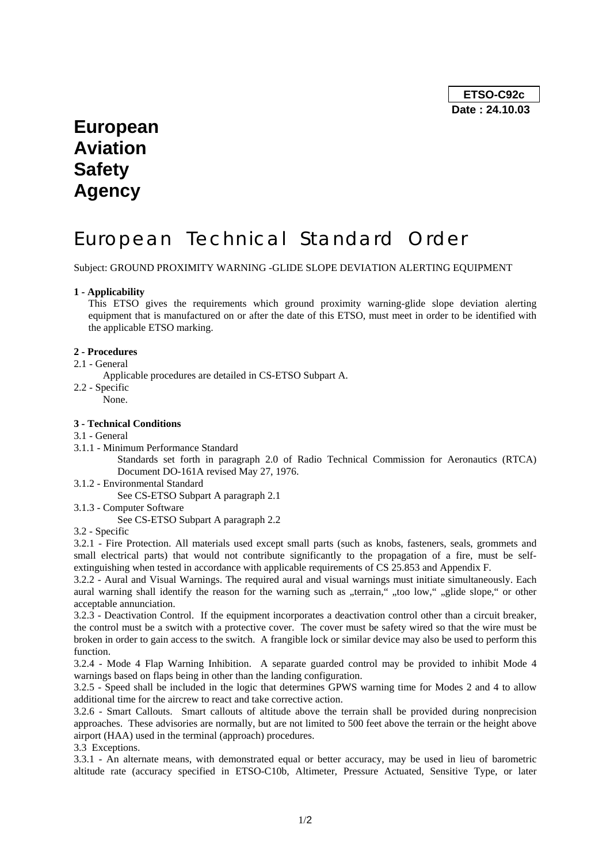**ETSO-C92c Date : 24.10.03** 

# **European Aviation Safety Agency**

# European Technical Standard Order

Subject: GROUND PROXIMITY WARNING -GLIDE SLOPE DEVIATION ALERTING EQUIPMENT

### **1 - Applicability**

This ETSO gives the requirements which ground proximity warning-glide slope deviation alerting equipment that is manufactured on or after the date of this ETSO, must meet in order to be identified with the applicable ETSO marking.

#### **2 - Procedures**

- 2.1 General
- Applicable procedures are detailed in CS-ETSO Subpart A.
- 2.2 Specific
	- None.

### **3 - Technical Conditions**

- 3.1 General
- 3.1.1 Minimum Performance Standard

Standards set forth in paragraph 2.0 of Radio Technical Commission for Aeronautics (RTCA) Document DO-161A revised May 27, 1976.

3.1.2 - Environmental Standard

See CS-ETSO Subpart A paragraph 2.1

3.1.3 - Computer Software

See CS-ETSO Subpart A paragraph 2.2

3.2 - Specific

3.2.1 - Fire Protection. All materials used except small parts (such as knobs, fasteners, seals, grommets and small electrical parts) that would not contribute significantly to the propagation of a fire, must be selfextinguishing when tested in accordance with applicable requirements of CS 25.853 and Appendix F.

3.2.2 - Aural and Visual Warnings. The required aural and visual warnings must initiate simultaneously. Each aural warning shall identify the reason for the warning such as "terrain," "too low," "glide slope," or other acceptable annunciation.

3.2.3 - Deactivation Control. If the equipment incorporates a deactivation control other than a circuit breaker, the control must be a switch with a protective cover. The cover must be safety wired so that the wire must be broken in order to gain access to the switch. A frangible lock or similar device may also be used to perform this function.

3.2.4 - Mode 4 Flap Warning Inhibition. A separate guarded control may be provided to inhibit Mode 4 warnings based on flaps being in other than the landing configuration.

3.2.5 - Speed shall be included in the logic that determines GPWS warning time for Modes 2 and 4 to allow additional time for the aircrew to react and take corrective action.

3.2.6 - Smart Callouts. Smart callouts of altitude above the terrain shall be provided during nonprecision approaches. These advisories are normally, but are not limited to 500 feet above the terrain or the height above airport (HAA) used in the terminal (approach) procedures.

3.3 Exceptions.

3.3.1 - An alternate means, with demonstrated equal or better accuracy, may be used in lieu of barometric altitude rate (accuracy specified in ETSO-C10b, Altimeter, Pressure Actuated, Sensitive Type, or later